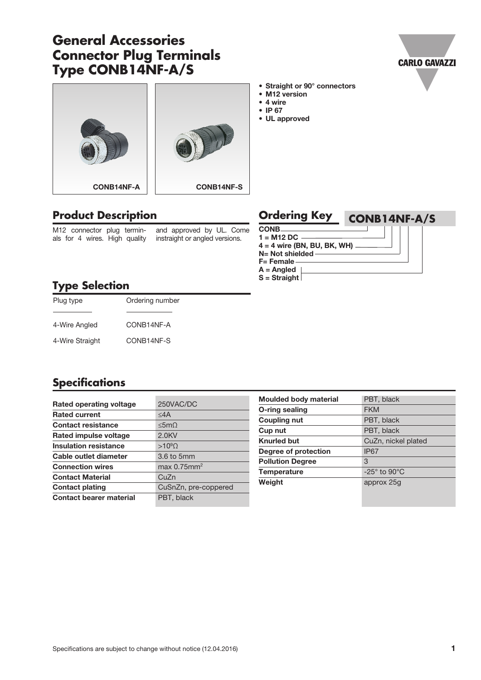# **General Accessories Connector Plug Terminals Type CONB14NF-A/S**







#### • Straight or 90° connectors

- M12 version
- 4 wire
- IP 67
- UL approved

## **Product Description**

M12 connector plug terminals for 4 wires. High quality and approved by UL. Come instraight or angled versions.

| <b>CONB.</b><br>$1 = M12 DC$      | <b>Ordering Key</b> | CONB14NF-A/S |
|-----------------------------------|---------------------|--------------|
|                                   |                     |              |
|                                   |                     |              |
| $4 = 4$ wire (BN, BU, BK, WH) $-$ |                     |              |
| $N=$ Not shielded -               |                     |              |
| $F =$ Female                      |                     |              |
| $A =$ Angled                      |                     |              |
| $S =$ Straight                    |                     |              |

### **Type Selection**

| Plug type       | Ordering number |
|-----------------|-----------------|
| 4-Wire Angled   | CONB14NF-A      |
| 4-Wire Straight | CONB14NF-S      |

#### **Specifications**

| Rated operating voltage        | 250VAC/DC               |
|--------------------------------|-------------------------|
| <b>Rated current</b>           | $<$ 4 $A$               |
| <b>Contact resistance</b>      | <5m()                   |
| Rated impulse voltage          | $2.0$ KV                |
| <b>Insulation resistance</b>   | $>10^9$ $\Omega$        |
| Cable outlet diameter          | 3.6 to 5mm              |
| <b>Connection wires</b>        | max 0.75mm <sup>2</sup> |
| <b>Contact Material</b>        | CuZn                    |
| <b>Contact plating</b>         | CuSnZn, pre-coppered    |
| <b>Contact bearer material</b> | PBT, black              |

| <b>Moulded body material</b> | PBT, black                    |
|------------------------------|-------------------------------|
| O-ring sealing               | <b>FKM</b>                    |
| <b>Coupling nut</b>          | PBT, black                    |
| Cup nut                      | PBT, black                    |
| <b>Knurled but</b>           | CuZn, nickel plated           |
| Degree of protection         | IP <sub>67</sub>              |
| <b>Pollution Degree</b>      | 3                             |
| <b>Temperature</b>           | $-25^\circ$ to 90 $\degree$ C |
| Weight                       | approx 25g                    |
|                              |                               |